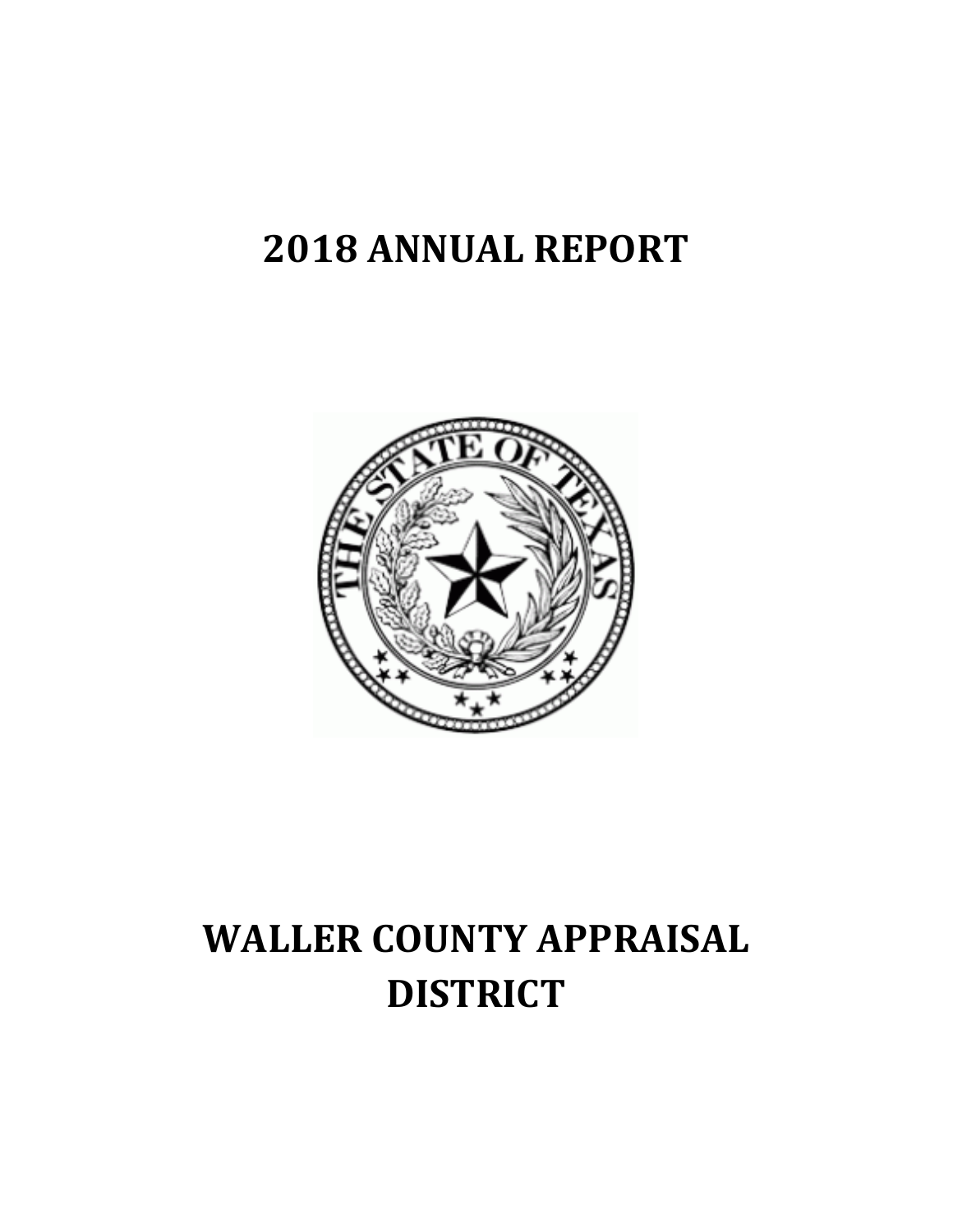# **2018 ANNUAL REPORT**



# **WALLER COUNTY APPRAISAL DISTRICT**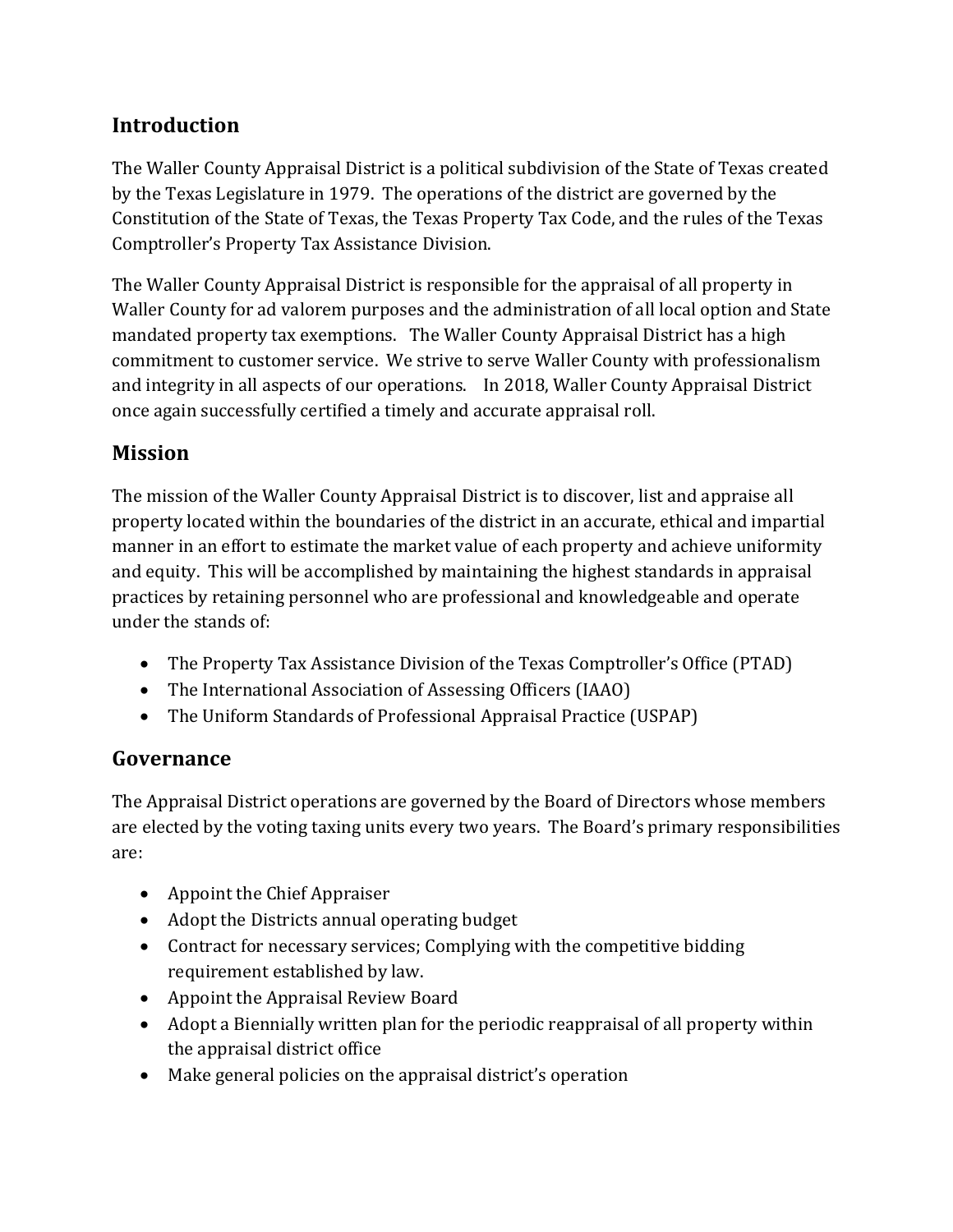# **Introduction**

The Waller County Appraisal District is a political subdivision of the State of Texas created by the Texas Legislature in 1979. The operations of the district are governed by the Constitution of the State of Texas, the Texas Property Tax Code, and the rules of the Texas Comptroller's Property Tax Assistance Division.

The Waller County Appraisal District is responsible for the appraisal of all property in Waller County for ad valorem purposes and the administration of all local option and State mandated property tax exemptions. The Waller County Appraisal District has a high commitment to customer service. We strive to serve Waller County with professionalism and integrity in all aspects of our operations. In 2018, Waller County Appraisal District once again successfully certified a timely and accurate appraisal roll.

## **Mission**

The mission of the Waller County Appraisal District is to discover, list and appraise all property located within the boundaries of the district in an accurate, ethical and impartial manner in an effort to estimate the market value of each property and achieve uniformity and equity. This will be accomplished by maintaining the highest standards in appraisal practices by retaining personnel who are professional and knowledgeable and operate under the stands of:

- The Property Tax Assistance Division of the Texas Comptroller's Office (PTAD)
- The International Association of Assessing Officers (IAAO)
- The Uniform Standards of Professional Appraisal Practice (USPAP)

### **Governance**

The Appraisal District operations are governed by the Board of Directors whose members are elected by the voting taxing units every two years. The Board's primary responsibilities are:

- Appoint the Chief Appraiser
- Adopt the Districts annual operating budget
- Contract for necessary services; Complying with the competitive bidding requirement established by law.
- Appoint the Appraisal Review Board
- Adopt a Biennially written plan for the periodic reappraisal of all property within the appraisal district office
- Make general policies on the appraisal district's operation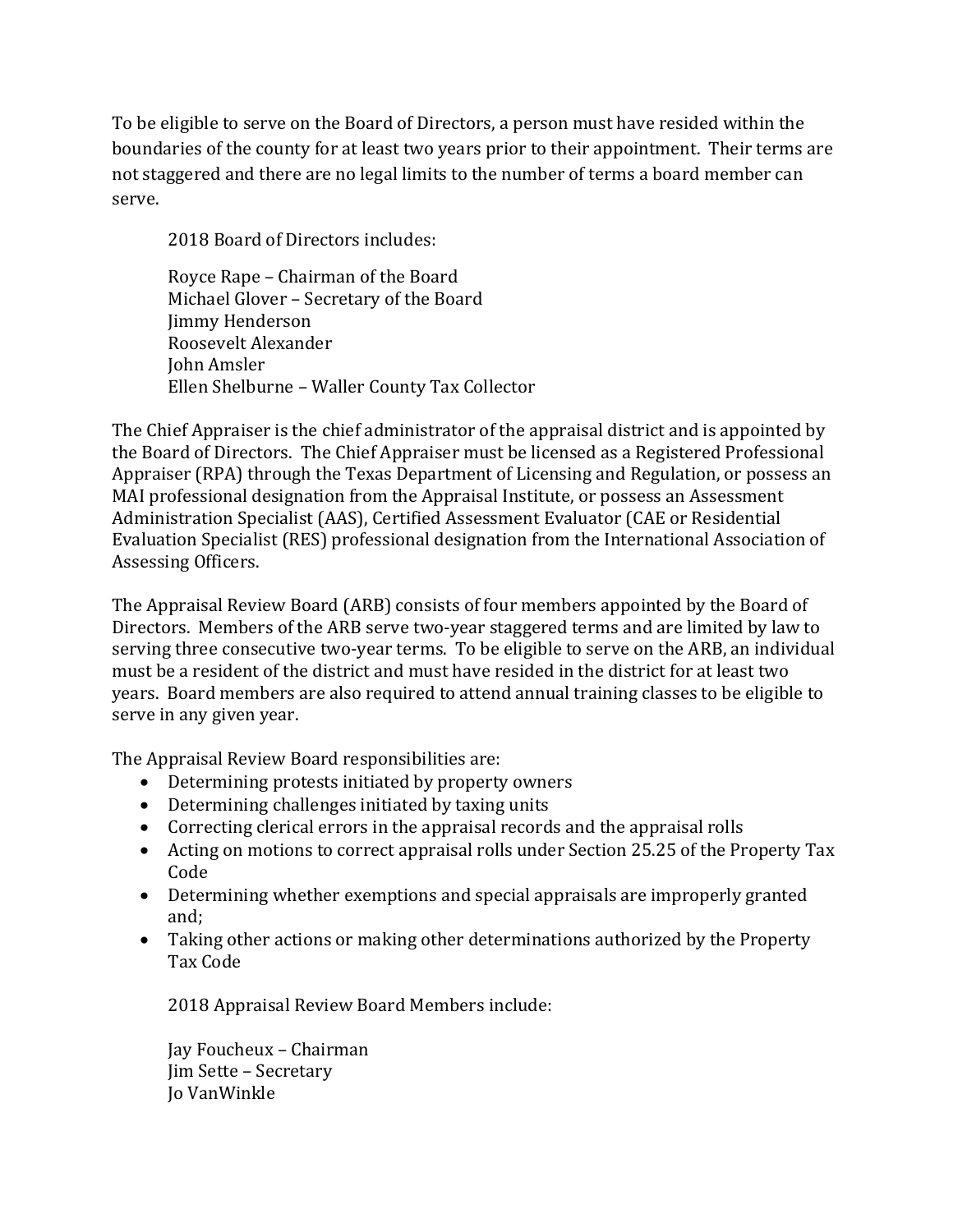To be eligible to serve on the Board of Directors, a person must have resided within the boundaries of the county for at least two years prior to their appointment. Their terms are not staggered and there are no legal limits to the number of terms a board member can serve.

2018 Board of Directors includes:

Royce Rape – Chairman of the Board Michael Glover – Secretary of the Board Jimmy Henderson Roosevelt Alexander John Amsler Ellen Shelburne – Waller County Tax Collector

The Chief Appraiser is the chief administrator of the appraisal district and is appointed by the Board of Directors. The Chief Appraiser must be licensed as a Registered Professional Appraiser (RPA) through the Texas Department of Licensing and Regulation, or possess an MAI professional designation from the Appraisal Institute, or possess an Assessment Administration Specialist (AAS), Certified Assessment Evaluator (CAE or Residential Evaluation Specialist (RES) professional designation from the International Association of Assessing Officers.

The Appraisal Review Board (ARB) consists of four members appointed by the Board of Directors. Members of the ARB serve two-year staggered terms and are limited by law to serving three consecutive two-year terms. To be eligible to serve on the ARB, an individual must be a resident of the district and must have resided in the district for at least two years. Board members are also required to attend annual training classes to be eligible to serve in any given year.

The Appraisal Review Board responsibilities are:

- Determining protests initiated by property owners
- Determining challenges initiated by taxing units
- Correcting clerical errors in the appraisal records and the appraisal rolls
- Acting on motions to correct appraisal rolls under Section 25.25 of the Property Tax Code
- Determining whether exemptions and special appraisals are improperly granted and;
- Taking other actions or making other determinations authorized by the Property Tax Code

2018 Appraisal Review Board Members include:

Jay Foucheux – Chairman Jim Sette – Secretary Jo VanWinkle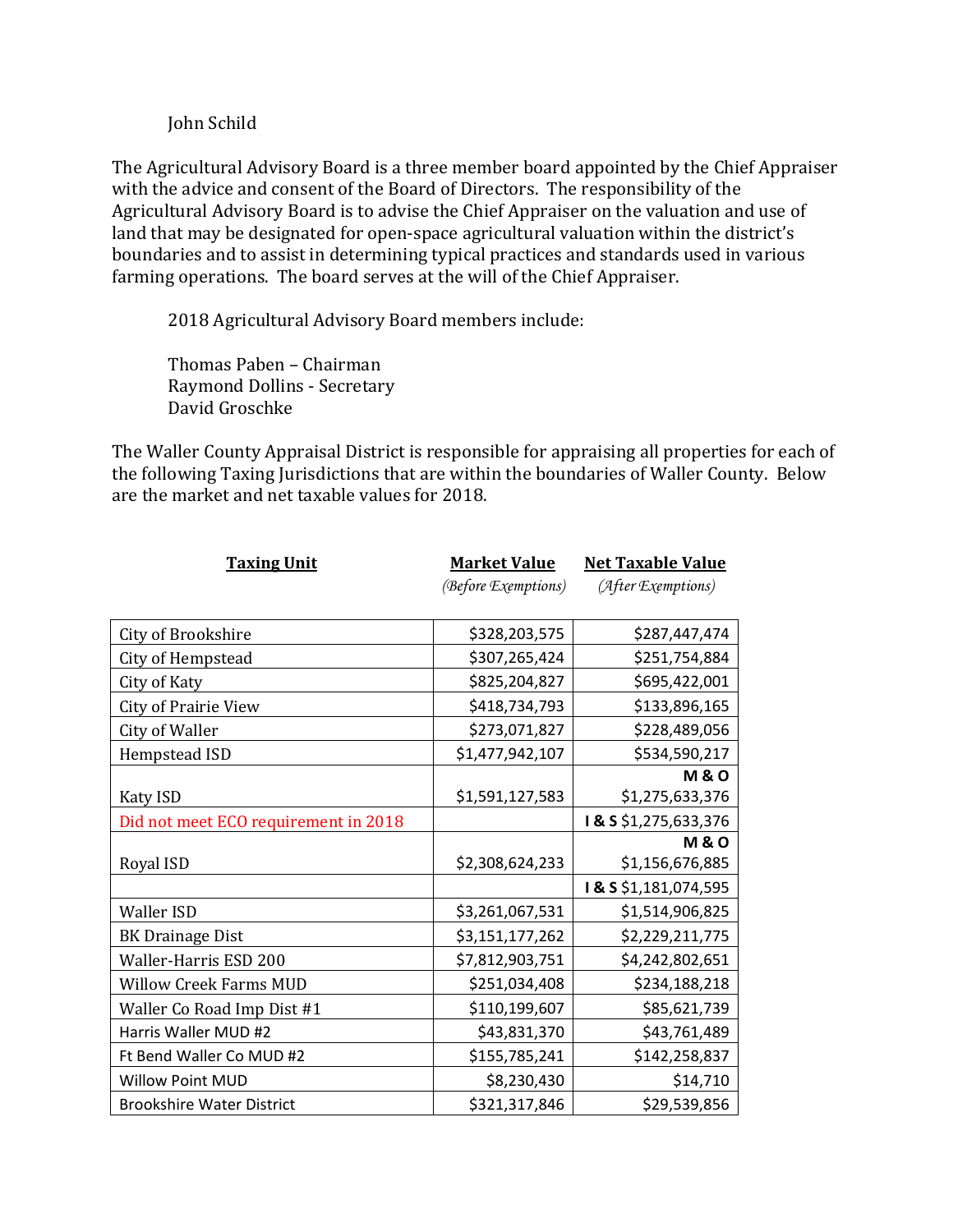#### John Schild

The Agricultural Advisory Board is a three member board appointed by the Chief Appraiser with the advice and consent of the Board of Directors. The responsibility of the Agricultural Advisory Board is to advise the Chief Appraiser on the valuation and use of land that may be designated for open-space agricultural valuation within the district's boundaries and to assist in determining typical practices and standards used in various farming operations. The board serves at the will of the Chief Appraiser.

2018 Agricultural Advisory Board members include:

Thomas Paben – Chairman Raymond Dollins - Secretary David Groschke

The Waller County Appraisal District is responsible for appraising all properties for each of the following Taxing Jurisdictions that are within the boundaries of Waller County. Below are the market and net taxable values for 2018.

| <b>Taxing Unit</b>                   | <b>Market Value</b> | <b>Net Taxable Value</b> |  |  |
|--------------------------------------|---------------------|--------------------------|--|--|
|                                      | (Before Exemptions) | (After Exemptions)       |  |  |
|                                      |                     |                          |  |  |
| City of Brookshire                   | \$328,203,575       | \$287,447,474            |  |  |
| City of Hempstead                    | \$307,265,424       | \$251,754,884            |  |  |
| City of Katy                         | \$825,204,827       | \$695,422,001            |  |  |
| <b>City of Prairie View</b>          | \$418,734,793       | \$133,896,165            |  |  |
| City of Waller                       | \$273,071,827       | \$228,489,056            |  |  |
| Hempstead ISD                        | \$1,477,942,107     | \$534,590,217            |  |  |
|                                      |                     | <b>M&amp;O</b>           |  |  |
| Katy ISD                             | \$1,591,127,583     | \$1,275,633,376          |  |  |
| Did not meet ECO requirement in 2018 |                     | I & S \$1,275,633,376    |  |  |
|                                      |                     | <b>M&amp;O</b>           |  |  |
| Royal ISD                            | \$2,308,624,233     | \$1,156,676,885          |  |  |
|                                      |                     | I & S \$1,181,074,595    |  |  |
| <b>Waller ISD</b>                    | \$3,261,067,531     | \$1,514,906,825          |  |  |
| <b>BK Drainage Dist</b>              | \$3,151,177,262     | \$2,229,211,775          |  |  |
| Waller-Harris ESD 200                | \$7,812,903,751     | \$4,242,802,651          |  |  |
| <b>Willow Creek Farms MUD</b>        | \$251,034,408       | \$234,188,218            |  |  |
| Waller Co Road Imp Dist #1           | \$110,199,607       | \$85,621,739             |  |  |
| Harris Waller MUD #2                 | \$43,831,370        | \$43,761,489             |  |  |
| Ft Bend Waller Co MUD #2             | \$155,785,241       | \$142,258,837            |  |  |
| <b>Willow Point MUD</b>              | \$8,230,430         | \$14,710                 |  |  |
| <b>Brookshire Water District</b>     | \$321,317,846       | \$29,539,856             |  |  |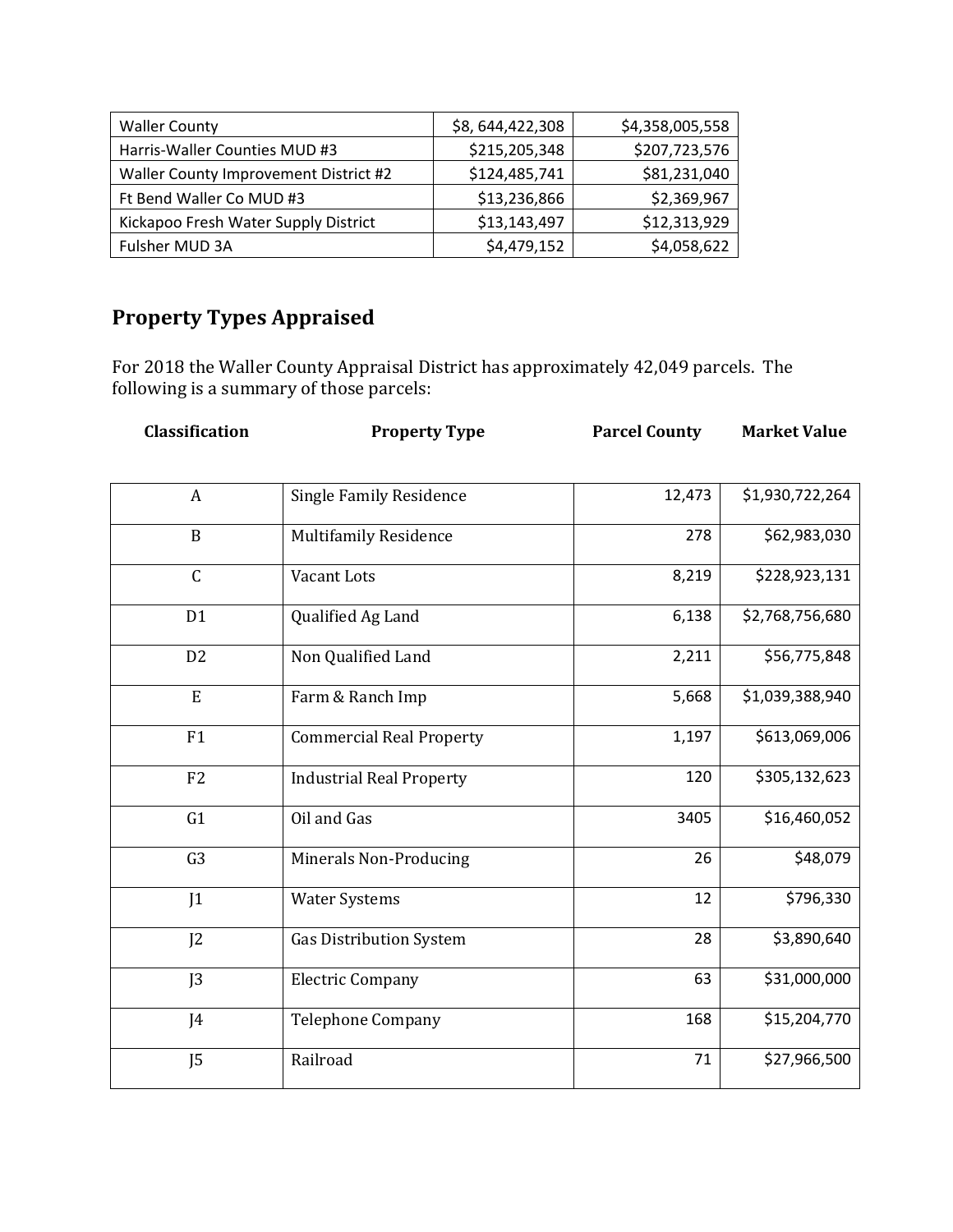| <b>Waller County</b>                  | \$8,644,422,308 | \$4,358,005,558 |
|---------------------------------------|-----------------|-----------------|
| Harris-Waller Counties MUD #3         | \$215,205,348   | \$207,723,576   |
| Waller County Improvement District #2 | \$124,485,741   | \$81,231,040    |
| Ft Bend Waller Co MUD #3              | \$13,236,866    | \$2,369,967     |
| Kickapoo Fresh Water Supply District  | \$13,143,497    | \$12,313,929    |
| Fulsher MUD 3A                        | \$4,479,152     | \$4,058,622     |

# **Property Types Appraised**

For 2018 the Waller County Appraisal District has approximately 42,049 parcels. The following is a summary of those parcels:

| Classification   | <b>Property Type</b>            |        | <b>Market Value</b> |  |
|------------------|---------------------------------|--------|---------------------|--|
|                  |                                 |        |                     |  |
| $\boldsymbol{A}$ | <b>Single Family Residence</b>  | 12,473 | \$1,930,722,264     |  |
| $\overline{B}$   | Multifamily Residence           | 278    | \$62,983,030        |  |
| $\mathsf C$      | Vacant Lots                     | 8,219  | \$228,923,131       |  |
| D <sub>1</sub>   | Qualified Ag Land               | 6,138  | \$2,768,756,680     |  |
| D <sub>2</sub>   | Non Qualified Land              | 2,211  | \$56,775,848        |  |
| E                | Farm & Ranch Imp                | 5,668  | \$1,039,388,940     |  |
| F1               | <b>Commercial Real Property</b> | 1,197  | \$613,069,006       |  |
| F <sub>2</sub>   | <b>Industrial Real Property</b> | 120    | \$305,132,623       |  |
| G1               | Oil and Gas                     | 3405   | \$16,460,052        |  |
| G <sub>3</sub>   | Minerals Non-Producing          | 26     | \$48,079            |  |
| 1                | <b>Water Systems</b>            | 12     | \$796,330           |  |
| J <sub>2</sub>   | <b>Gas Distribution System</b>  | 28     | \$3,890,640         |  |
| J <sub>3</sub>   | <b>Electric Company</b>         | 63     | \$31,000,000        |  |
| J4               | <b>Telephone Company</b>        | 168    | \$15,204,770        |  |
| J <sub>5</sub>   | Railroad                        | 71     | \$27,966,500        |  |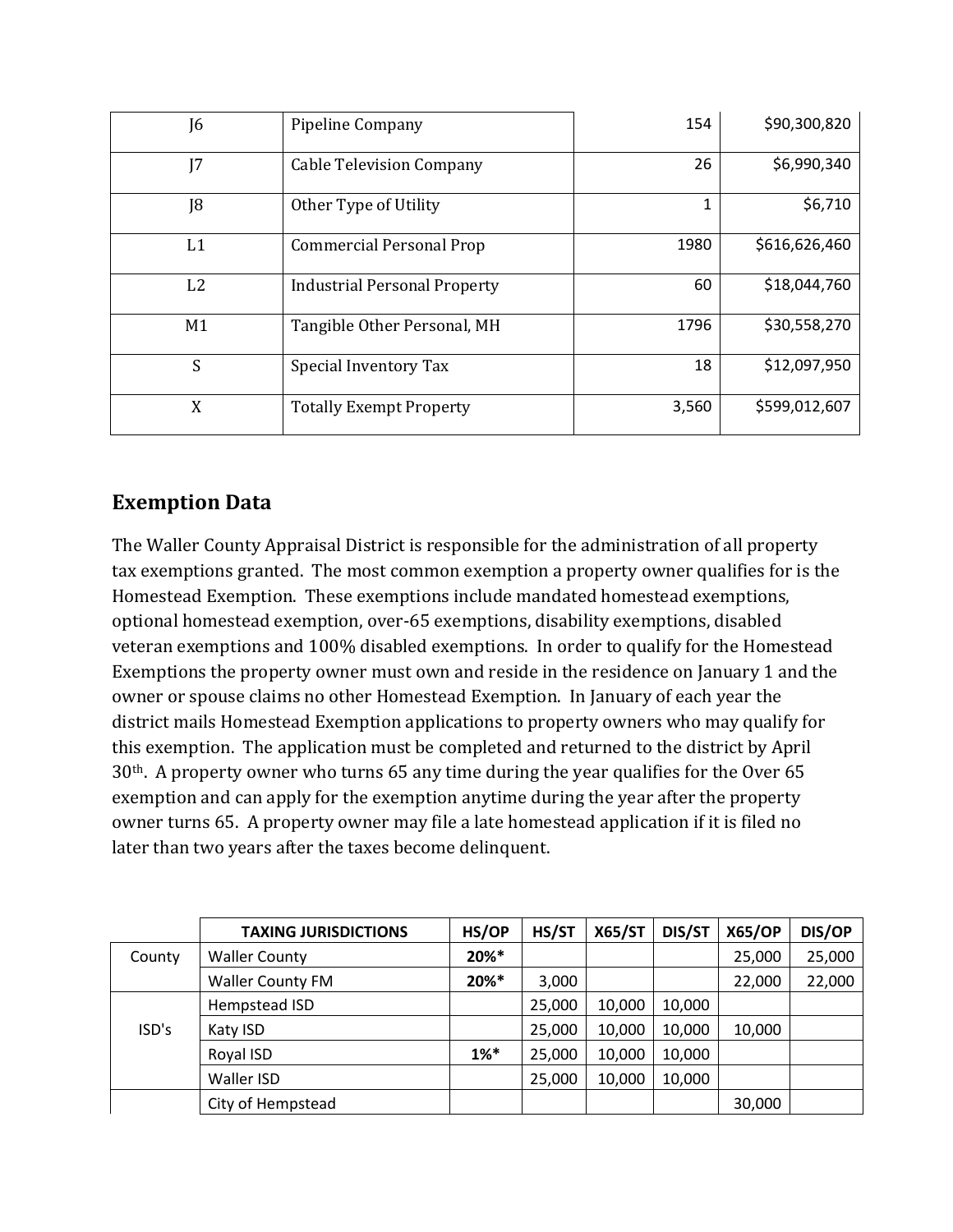| J6             | Pipeline Company                    | 154   | \$90,300,820  |
|----------------|-------------------------------------|-------|---------------|
| J <sub>7</sub> | <b>Cable Television Company</b>     | 26    | \$6,990,340   |
| J8             | Other Type of Utility               |       | \$6,710       |
| L1             | Commercial Personal Prop            | 1980  | \$616,626,460 |
| L2             | <b>Industrial Personal Property</b> | 60    | \$18,044,760  |
| M <sub>1</sub> | Tangible Other Personal, MH         | 1796  | \$30,558,270  |
| S              | Special Inventory Tax               | 18    | \$12,097,950  |
| X              | <b>Totally Exempt Property</b>      | 3,560 | \$599,012,607 |

# **Exemption Data**

The Waller County Appraisal District is responsible for the administration of all property tax exemptions granted. The most common exemption a property owner qualifies for is the Homestead Exemption. These exemptions include mandated homestead exemptions, optional homestead exemption, over-65 exemptions, disability exemptions, disabled veteran exemptions and 100% disabled exemptions. In order to qualify for the Homestead Exemptions the property owner must own and reside in the residence on January 1 and the owner or spouse claims no other Homestead Exemption. In January of each year the district mails Homestead Exemption applications to property owners who may qualify for this exemption. The application must be completed and returned to the district by April 30th. A property owner who turns 65 any time during the year qualifies for the Over 65 exemption and can apply for the exemption anytime during the year after the property owner turns 65. A property owner may file a late homestead application if it is filed no later than two years after the taxes become delinquent.

|        | <b>TAXING JURISDICTIONS</b> | HS/OP             | HS/ST  | <b>X65/ST</b> | DIS/ST | <b>X65/OP</b> | DIS/OP |
|--------|-----------------------------|-------------------|--------|---------------|--------|---------------|--------|
| County | <b>Waller County</b>        | 20%*              |        |               |        | 25,000        | 25,000 |
|        | <b>Waller County FM</b>     | 20%*              | 3,000  |               |        | 22,000        | 22,000 |
| ISD's  | Hempstead ISD               |                   | 25,000 | 10,000        | 10,000 |               |        |
|        | Katy ISD                    |                   | 25,000 | 10,000        | 10,000 | 10,000        |        |
|        | Royal ISD                   | $1%$ <sup>*</sup> | 25,000 | 10,000        | 10,000 |               |        |
|        | Waller ISD                  |                   | 25,000 | 10,000        | 10,000 |               |        |
|        | City of Hempstead           |                   |        |               |        | 30,000        |        |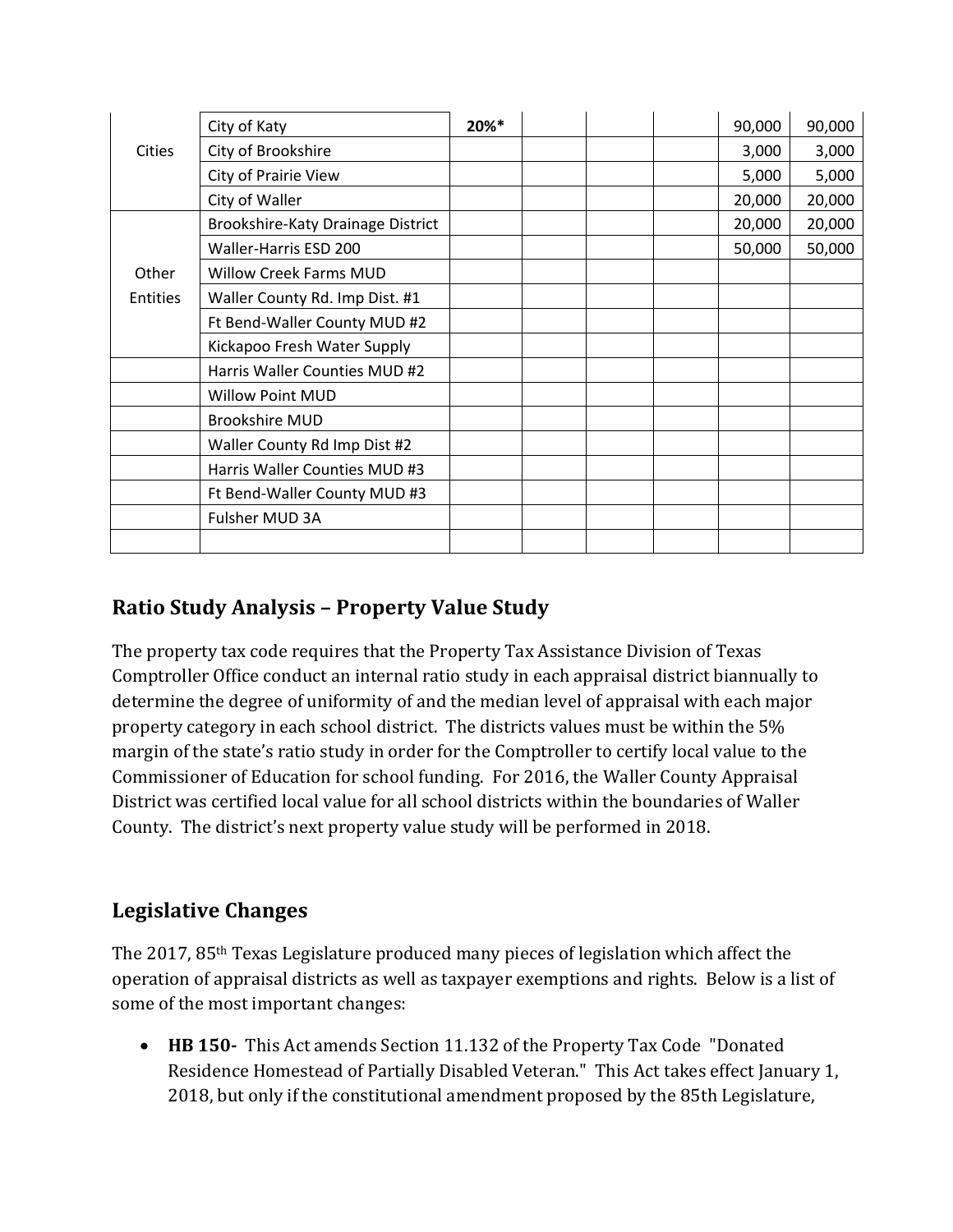|               | City of Katy                      | 20%* |  | 90,000 | 90,000 |
|---------------|-----------------------------------|------|--|--------|--------|
| <b>Cities</b> | City of Brookshire                |      |  | 3,000  | 3,000  |
|               | City of Prairie View              |      |  | 5,000  | 5,000  |
|               | City of Waller                    |      |  | 20,000 | 20,000 |
|               | Brookshire-Katy Drainage District |      |  | 20,000 | 20,000 |
|               | Waller-Harris ESD 200             |      |  | 50,000 | 50,000 |
| Other         | <b>Willow Creek Farms MUD</b>     |      |  |        |        |
| Entities      | Waller County Rd. Imp Dist. #1    |      |  |        |        |
|               | Ft Bend-Waller County MUD #2      |      |  |        |        |
|               | Kickapoo Fresh Water Supply       |      |  |        |        |
|               | Harris Waller Counties MUD #2     |      |  |        |        |
|               | <b>Willow Point MUD</b>           |      |  |        |        |
|               | <b>Brookshire MUD</b>             |      |  |        |        |
|               | Waller County Rd Imp Dist #2      |      |  |        |        |
|               | Harris Waller Counties MUD #3     |      |  |        |        |
|               | Ft Bend-Waller County MUD #3      |      |  |        |        |
|               | Fulsher MUD 3A                    |      |  |        |        |
|               |                                   |      |  |        |        |

# **Ratio Study Analysis – Property Value Study**

The property tax code requires that the Property Tax Assistance Division of Texas Comptroller Office conduct an internal ratio study in each appraisal district biannually to determine the degree of uniformity of and the median level of appraisal with each major property category in each school district. The districts values must be within the 5% margin of the state's ratio study in order for the Comptroller to certify local value to the Commissioner of Education for school funding. For 2016, the Waller County Appraisal District was certified local value for all school districts within the boundaries of Waller County. The district's next property value study will be performed in 2018.

### **Legislative Changes**

The 2017, 85th Texas Legislature produced many pieces of legislation which affect the operation of appraisal districts as well as taxpayer exemptions and rights. Below is a list of some of the most important changes:

• **HB 150-** This Act amends Section 11.132 of the Property Tax Code "Donated Residence Homestead of Partially Disabled Veteran." This Act takes effect January 1, 2018, but only if the constitutional amendment proposed by the 85th Legislature,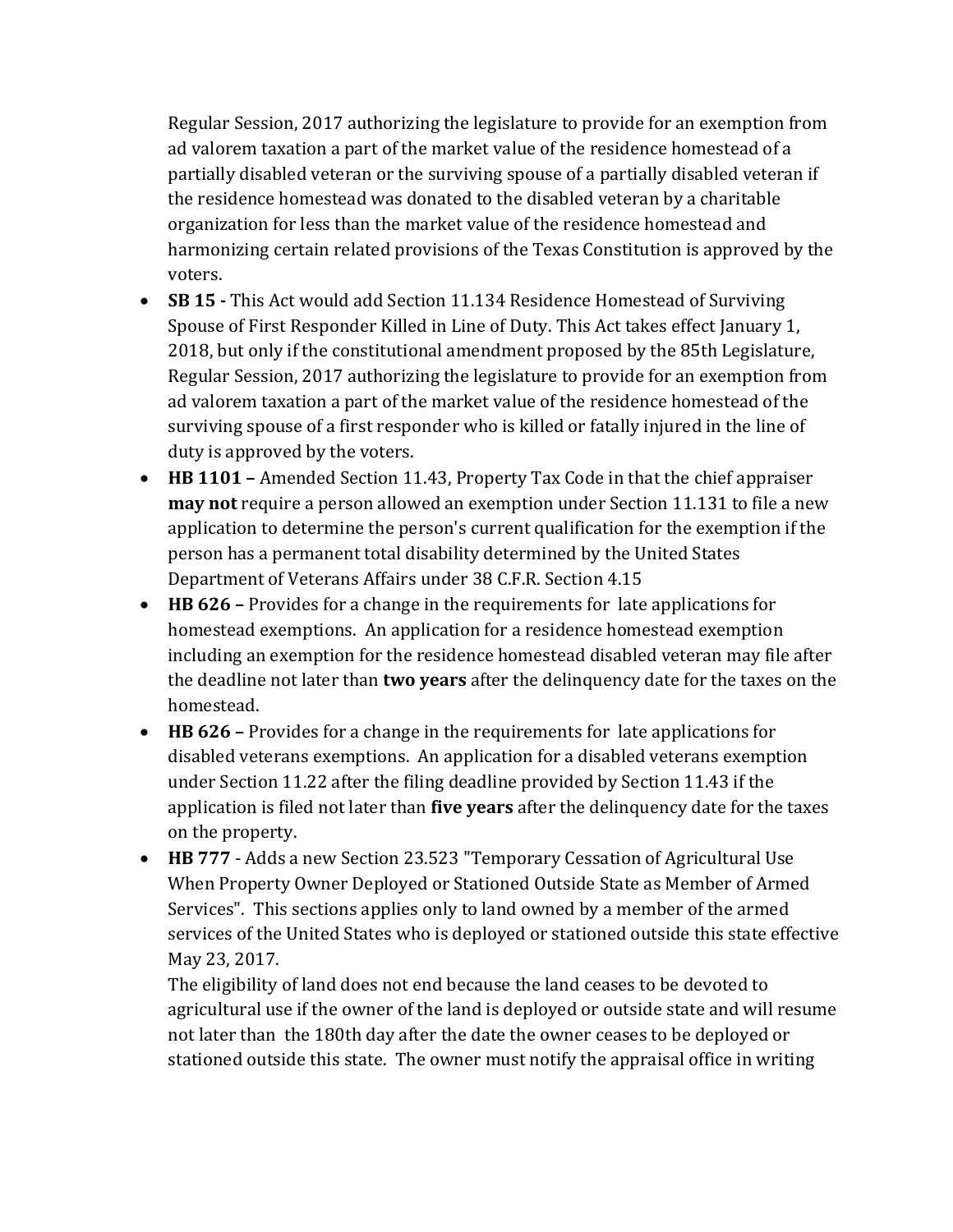Regular Session, 2017 authorizing the legislature to provide for an exemption from ad valorem taxation a part of the market value of the residence homestead of a partially disabled veteran or the surviving spouse of a partially disabled veteran if the residence homestead was donated to the disabled veteran by a charitable organization for less than the market value of the residence homestead and harmonizing certain related provisions of the Texas Constitution is approved by the voters.

- **SB 15 -** This Act would add Section 11.134 Residence Homestead of Surviving Spouse of First Responder Killed in Line of Duty. This Act takes effect January 1, 2018, but only if the constitutional amendment proposed by the 85th Legislature, Regular Session, 2017 authorizing the legislature to provide for an exemption from ad valorem taxation a part of the market value of the residence homestead of the surviving spouse of a first responder who is killed or fatally injured in the line of duty is approved by the voters.
- **HB 1101 –** Amended Section 11.43, Property Tax Code in that the chief appraiser **may not** require a person allowed an exemption under Section 11.131 to file a new application to determine the person's current qualification for the exemption if the person has a permanent total disability determined by the United States Department of Veterans Affairs under 38 C.F.R. Section 4.15
- **HB 626 –** Provides for a change in the requirements for late applications for homestead exemptions. An application for a residence homestead exemption including an exemption for the residence homestead disabled veteran may file after the deadline not later than **two years** after the delinquency date for the taxes on the homestead.
- **HB 626 –** Provides for a change in the requirements for late applications for disabled veterans exemptions. An application for a disabled veterans exemption under Section 11.22 after the filing deadline provided by Section 11.43 if the application is filed not later than **five years** after the delinquency date for the taxes on the property.
- **HB 777**  Adds a new Section 23.523 "Temporary Cessation of Agricultural Use When Property Owner Deployed or Stationed Outside State as Member of Armed Services". This sections applies only to land owned by a member of the armed services of the United States who is deployed or stationed outside this state effective May 23, 2017.

The eligibility of land does not end because the land ceases to be devoted to agricultural use if the owner of the land is deployed or outside state and will resume not later than the 180th day after the date the owner ceases to be deployed or stationed outside this state. The owner must notify the appraisal office in writing